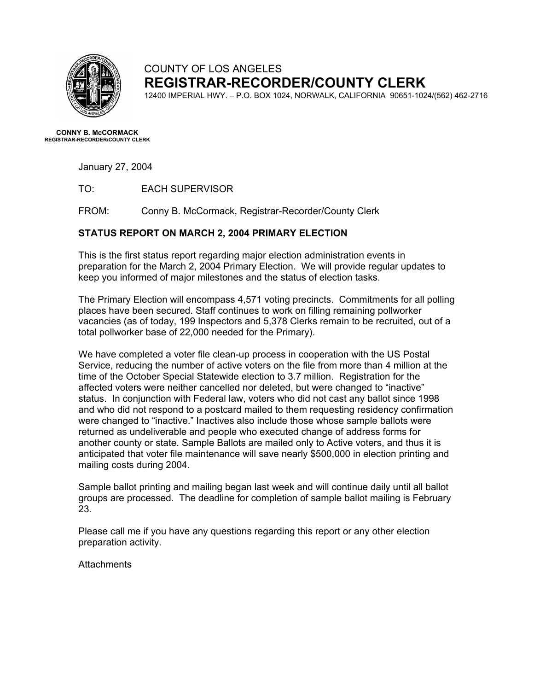

## COUNTY OF LOS ANGELES **REGISTRAR-RECORDER/COUNTY CLERK**

12400 IMPERIAL HWY. – P.O. BOX 1024, NORWALK, CALIFORNIA 90651-1024/(562) 462-2716

**CONNY B. McCORMACK REGISTRAR-RECORDER/COUNTY CLERK** 

January 27, 2004

TO: EACH SUPERVISOR

FROM: Conny B. McCormack, Registrar-Recorder/County Clerk

## **STATUS REPORT ON MARCH 2, 2004 PRIMARY ELECTION**

This is the first status report regarding major election administration events in preparation for the March 2, 2004 Primary Election. We will provide regular updates to keep you informed of major milestones and the status of election tasks.

The Primary Election will encompass 4,571 voting precincts. Commitments for all polling places have been secured. Staff continues to work on filling remaining pollworker vacancies (as of today, 199 Inspectors and 5,378 Clerks remain to be recruited, out of a total pollworker base of 22,000 needed for the Primary).

We have completed a voter file clean-up process in cooperation with the US Postal Service, reducing the number of active voters on the file from more than 4 million at the time of the October Special Statewide election to 3.7 million. Registration for the affected voters were neither cancelled nor deleted, but were changed to "inactive" status. In conjunction with Federal law, voters who did not cast any ballot since 1998 and who did not respond to a postcard mailed to them requesting residency confirmation were changed to "inactive." Inactives also include those whose sample ballots were returned as undeliverable and people who executed change of address forms for another county or state. Sample Ballots are mailed only to Active voters, and thus it is anticipated that voter file maintenance will save nearly \$500,000 in election printing and mailing costs during 2004.

Sample ballot printing and mailing began last week and will continue daily until all ballot groups are processed. The deadline for completion of sample ballot mailing is February 23.

Please call me if you have any questions regarding this report or any other election preparation activity.

**Attachments**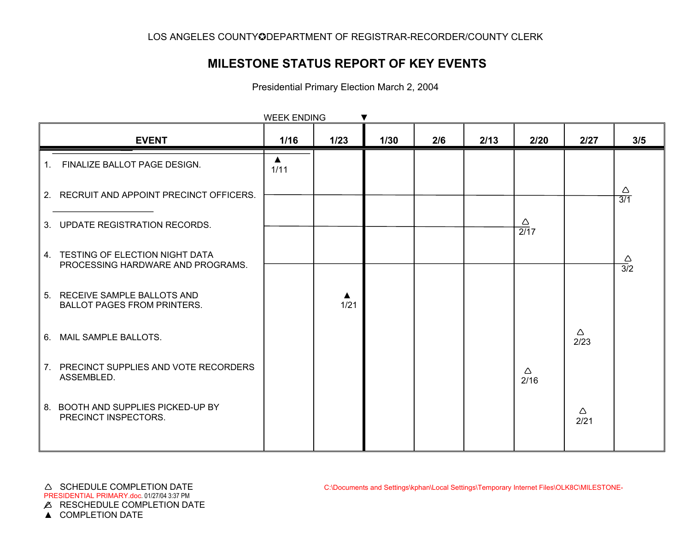## **MILESTONE STATUS REPORT OF KEY EVENTS**

Presidential Primary Election March 2, 2004

|    | <b>EVENT</b>                                                           | 1/16                     | $1/23$                   | 1/30 | 2/6 | 2/13 | 2/20                   | 2/27      | 3/5                             |
|----|------------------------------------------------------------------------|--------------------------|--------------------------|------|-----|------|------------------------|-----------|---------------------------------|
| 1. | FINALIZE BALLOT PAGE DESIGN.                                           | $\blacktriangle$<br>1/11 |                          |      |     |      |                        |           |                                 |
|    | 2. RECRUIT AND APPOINT PRECINCT OFFICERS.                              |                          |                          |      |     |      |                        |           | $\triangle$<br>$\overline{3/1}$ |
|    | 3. UPDATE REGISTRATION RECORDS.                                        |                          |                          |      |     |      | Δ<br>$\overline{2/17}$ |           |                                 |
|    | 4. TESTING OF ELECTION NIGHT DATA<br>PROCESSING HARDWARE AND PROGRAMS. |                          |                          |      |     |      |                        |           | $\frac{\triangle}{3/2}$         |
|    | 5. RECEIVE SAMPLE BALLOTS AND<br><b>BALLOT PAGES FROM PRINTERS.</b>    |                          | $\blacktriangle$<br>1/21 |      |     |      |                        |           |                                 |
|    | 6. MAIL SAMPLE BALLOTS.                                                |                          |                          |      |     |      |                        | Δ<br>2/23 |                                 |
|    | 7. PRECINCT SUPPLIES AND VOTE RECORDERS<br>ASSEMBLED.                  |                          |                          |      |     |      | $\triangle$<br>2/16    |           |                                 |
|    | 8. BOOTH AND SUPPLIES PICKED-UP BY<br>PRECINCT INSPECTORS.             |                          |                          |      |     |      |                        | Δ<br>2/21 |                                 |